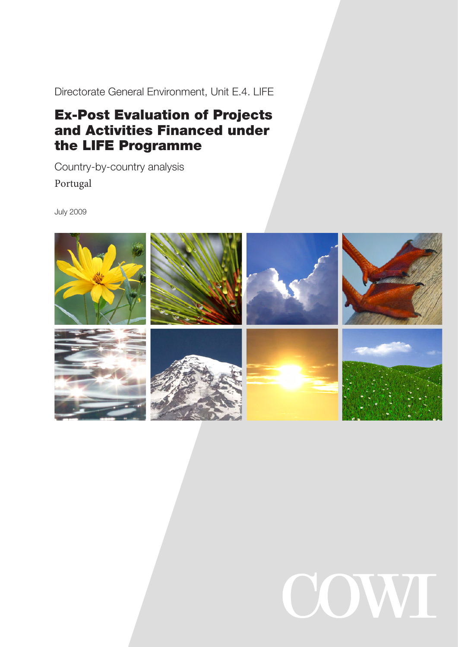Directorate General Environment, Unit E.4. LIFE

# Ex-Post Evaluation of Projects and Activities Financed under the LIFE Programme

Country-by-country analysis Portugal

July 2009



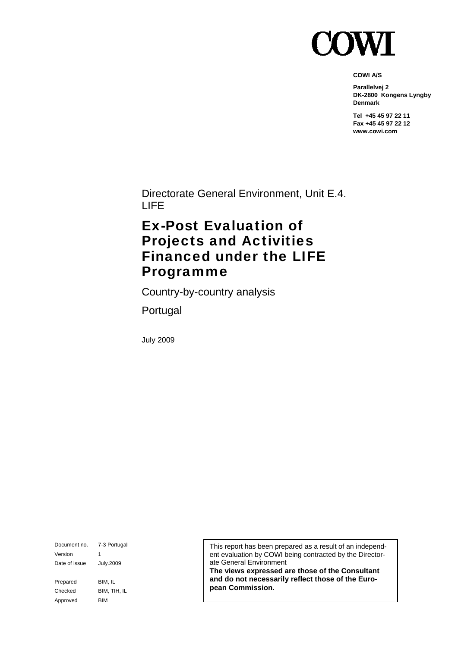

**COWI A/S** 

**Parallelvej 2 DK-2800 Kongens Lyngby Denmark** 

**Tel +45 45 97 22 11 Fax +45 45 97 22 12 www.cowi.com** 

Directorate General Environment, Unit E.4. LIFE

# Ex-Post Evaluation of Projects and Activities Financed under the LIFE Programme

Country-by-country analysis

Portugal

July 2009

Document no. 7-3 Portugal Version 1 Date of issue July.2009 Prepared BIM, IL Checked BIM, TIH, IL Approved BIM

This report has been prepared as a result of an independent evaluation by COWI being contracted by the Directorate General Environment

**The views expressed are those of the Consultant and do not necessarily reflect those of the European Commission.**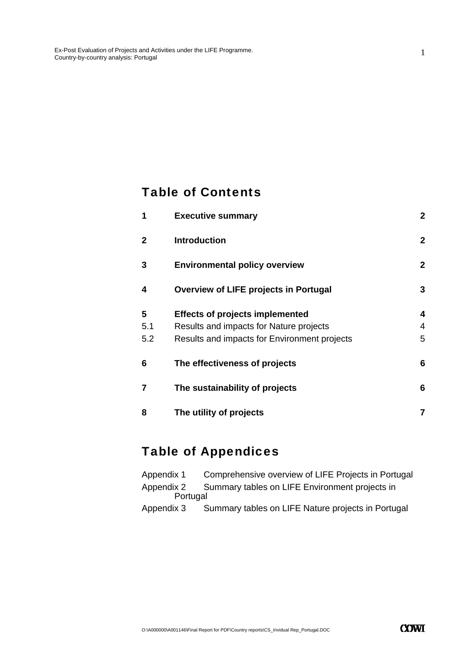### Table of Contents

| 1            | <b>Executive summary</b>                     | $\boldsymbol{2}$ |
|--------------|----------------------------------------------|------------------|
| $\mathbf{2}$ | <b>Introduction</b>                          | $\overline{2}$   |
| 3            | <b>Environmental policy overview</b>         | $\mathbf{2}$     |
| 4            | <b>Overview of LIFE projects in Portugal</b> | 3                |
| 5            | <b>Effects of projects implemented</b>       | 4                |
| 5.1          | Results and impacts for Nature projects      | 4                |
| 5.2          | Results and impacts for Environment projects | 5                |
| 6            | The effectiveness of projects                | 6                |
| 7            | The sustainability of projects               | 6                |
| 8            | The utility of projects                      | 7                |

# Table of Appendices

| Appendix 1 | Comprehensive overview of LIFE Projects in Portugal       |
|------------|-----------------------------------------------------------|
|            | Appendix 2 Summary tables on LIFE Environment projects in |
| Portugal   |                                                           |
| Annondiv 2 | Summary tables on LIEE Nature projects in Portugal        |

Appendix 3 Summary tables on LIFE Nature projects in Portugal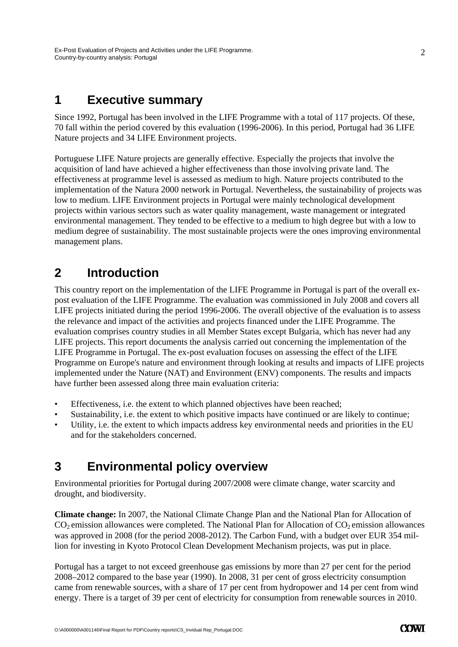### **1 Executive summary**

Since 1992, Portugal has been involved in the LIFE Programme with a total of 117 projects. Of these, 70 fall within the period covered by this evaluation (1996-2006). In this period, Portugal had 36 LIFE Nature projects and 34 LIFE Environment projects.

Portuguese LIFE Nature projects are generally effective. Especially the projects that involve the acquisition of land have achieved a higher effectiveness than those involving private land. The effectiveness at programme level is assessed as medium to high. Nature projects contributed to the implementation of the Natura 2000 network in Portugal. Nevertheless, the sustainability of projects was low to medium. LIFE Environment projects in Portugal were mainly technological development projects within various sectors such as water quality management, waste management or integrated environmental management. They tended to be effective to a medium to high degree but with a low to medium degree of sustainability. The most sustainable projects were the ones improving environmental management plans.

## **2 Introduction**

This country report on the implementation of the LIFE Programme in Portugal is part of the overall expost evaluation of the LIFE Programme. The evaluation was commissioned in July 2008 and covers all LIFE projects initiated during the period 1996-2006. The overall objective of the evaluation is to assess the relevance and impact of the activities and projects financed under the LIFE Programme. The evaluation comprises country studies in all Member States except Bulgaria, which has never had any LIFE projects. This report documents the analysis carried out concerning the implementation of the LIFE Programme in Portugal. The ex-post evaluation focuses on assessing the effect of the LIFE Programme on Europe's nature and environment through looking at results and impacts of LIFE projects implemented under the Nature (NAT) and Environment (ENV) components. The results and impacts have further been assessed along three main evaluation criteria:

- Effectiveness, i.e. the extent to which planned objectives have been reached;
- Sustainability, i.e. the extent to which positive impacts have continued or are likely to continue;
- Utility, i.e. the extent to which impacts address key environmental needs and priorities in the EU and for the stakeholders concerned.

## **3 Environmental policy overview**

Environmental priorities for Portugal during 2007/2008 were climate change, water scarcity and drought, and biodiversity.

**Climate change:** In 2007, the National Climate Change Plan and the National Plan for Allocation of  $CO<sub>2</sub>$  emission allowances were completed. The National Plan for Allocation of  $CO<sub>2</sub>$  emission allowances was approved in 2008 (for the period 2008-2012). The Carbon Fund, with a budget over EUR 354 million for investing in Kyoto Protocol Clean Development Mechanism projects, was put in place.

Portugal has a target to not exceed greenhouse gas emissions by more than 27 per cent for the period 2008–2012 compared to the base year (1990). In 2008, 31 per cent of gross electricity consumption came from renewable sources, with a share of 17 per cent from hydropower and 14 per cent from wind energy. There is a target of 39 per cent of electricity for consumption from renewable sources in 2010.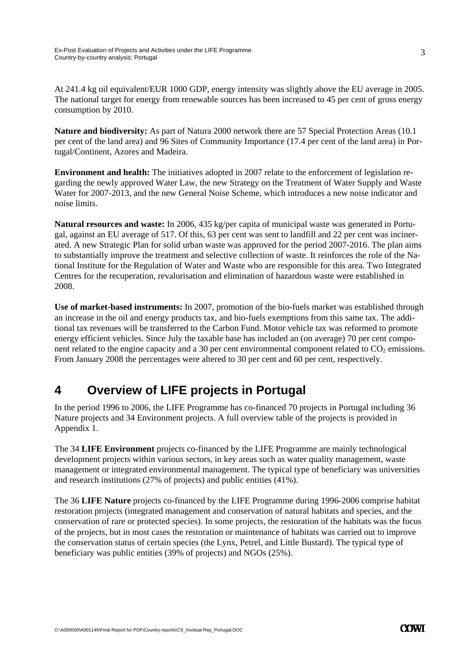At 241.4 kg oil equivalent/EUR 1000 GDP, energy intensity was slightly above the EU average in 2005. The national target for energy from renewable sources has been increased to 45 per cent of gross energy consumption by 2010.

**Nature and biodiversity:** As part of Natura 2000 network there are 57 Special Protection Areas (10.1 per cent of the land area) and 96 Sites of Community Importance (17.4 per cent of the land area) in Portugal/Continent, Azores and Madeira.

**Environment and health:** The initiatives adopted in 2007 relate to the enforcement of legislation regarding the newly approved Water Law, the new Strategy on the Treatment of Water Supply and Waste Water for 2007-2013, and the new General Noise Scheme, which introduces a new noise indicator and noise limits.

**Natural resources and waste:** In 2006, 435 kg/per capita of municipal waste was generated in Portugal, against an EU average of 517. Of this, 63 per cent was sent to landfill and 22 per cent was incinerated. A new Strategic Plan for solid urban waste was approved for the period 2007-2016. The plan aims to substantially improve the treatment and selective collection of waste. It reinforces the role of the National Institute for the Regulation of Water and Waste who are responsible for this area. Two Integrated Centres for the recuperation, revalorisation and elimination of hazardous waste were established in 2008.

**Use of market-based instruments:** In 2007, promotion of the bio-fuels market was established through an increase in the oil and energy products tax, and bio-fuels exemptions from this same tax. The additional tax revenues will be transferred to the Carbon Fund. Motor vehicle tax was reformed to promote energy efficient vehicles. Since July the taxable base has included an (on average) 70 per cent component related to the engine capacity and a 30 per cent environmental component related to  $CO<sub>2</sub>$  emissions. From January 2008 the percentages were altered to 30 per cent and 60 per cent, respectively.

## **4 Overview of LIFE projects in Portugal**

In the period 1996 to 2006, the LIFE Programme has co-financed 70 projects in Portugal including 36 Nature projects and 34 Environment projects. A full overview table of the projects is provided in Appendix 1.

The 34 **LIFE Environment** projects co-financed by the LIFE Programme are mainly technological development projects within various sectors, in key areas such as water quality management, waste management or integrated environmental management. The typical type of beneficiary was universities and research institutions (27% of projects) and public entities (41%).

The 36 **LIFE Nature** projects co-financed by the LIFE Programme during 1996-2006 comprise habitat restoration projects (integrated management and conservation of natural habitats and species, and the conservation of rare or protected species). In some projects, the restoration of the habitats was the focus of the projects, but in most cases the restoration or maintenance of habitats was carried out to improve the conservation status of certain species (the Lynx, Petrel, and Little Bustard). The typical type of beneficiary was public entities (39% of projects) and NGOs (25%).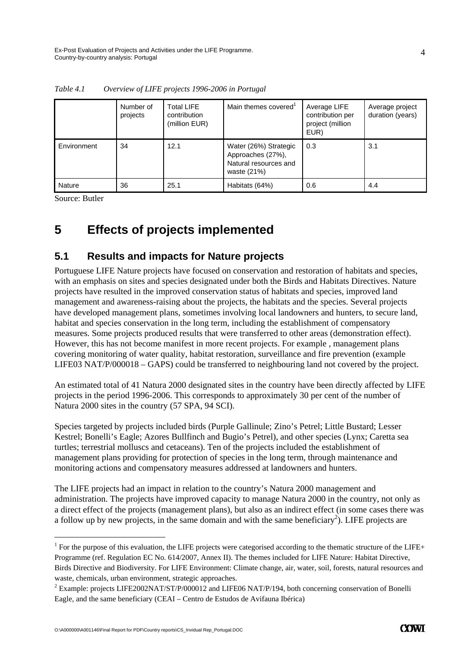|               | Number of<br>projects | <b>Total LIFE</b><br>contribution<br>(million EUR) | Main themes covered <sup>1</sup>                                                   | Average LIFE<br>contribution per<br>project (million<br>EUR) | Average project<br>duration (years) |
|---------------|-----------------------|----------------------------------------------------|------------------------------------------------------------------------------------|--------------------------------------------------------------|-------------------------------------|
| Environment   | 34                    | 12.1                                               | Water (26%) Strategic<br>Approaches (27%),<br>Natural resources and<br>waste (21%) | 0.3                                                          | 3.1                                 |
| <b>Nature</b> | 36                    | 25.1                                               | Habitats (64%)                                                                     | 0.6                                                          | 4.4                                 |

*Table 4.1 Overview of LIFE projects 1996-2006 in Portugal* 

Source: Butler

-

# **5 Effects of projects implemented**

#### **5.1 Results and impacts for Nature projects**

Portuguese LIFE Nature projects have focused on conservation and restoration of habitats and species, with an emphasis on sites and species designated under both the Birds and Habitats Directives. Nature projects have resulted in the improved conservation status of habitats and species, improved land management and awareness-raising about the projects, the habitats and the species. Several projects have developed management plans, sometimes involving local landowners and hunters, to secure land, habitat and species conservation in the long term, including the establishment of compensatory measures. Some projects produced results that were transferred to other areas (demonstration effect). However, this has not become manifest in more recent projects. For example , management plans covering monitoring of water quality, habitat restoration, surveillance and fire prevention (example LIFE03 NAT/P/000018 – GAPS) could be transferred to neighbouring land not covered by the project.

An estimated total of 41 Natura 2000 designated sites in the country have been directly affected by LIFE projects in the period 1996-2006. This corresponds to approximately 30 per cent of the number of Natura 2000 sites in the country (57 SPA, 94 SCI).

Species targeted by projects included birds (Purple Gallinule; Zino's Petrel; Little Bustard; Lesser Kestrel; Bonelli's Eagle; Azores Bullfinch and Bugio's Petrel), and other species (Lynx; Caretta sea turtles; terrestrial molluscs and cetaceans). Ten of the projects included the establishment of management plans providing for protection of species in the long term, through maintenance and monitoring actions and compensatory measures addressed at landowners and hunters.

The LIFE projects had an impact in relation to the country's Natura 2000 management and administration. The projects have improved capacity to manage Natura 2000 in the country, not only as a direct effect of the projects (management plans), but also as an indirect effect (in some cases there was a follow up by new projects, in the same domain and with the same beneficiary<sup>2</sup>). LIFE projects are

<sup>&</sup>lt;sup>1</sup> For the purpose of this evaluation, the LIFE projects were categorised according to the thematic structure of the LIFE+ Programme (ref. Regulation EC No. 614/2007, Annex II). The themes included for LIFE Nature: Habitat Directive, Birds Directive and Biodiversity. For LIFE Environment: Climate change, air, water, soil, forests, natural resources and waste, chemicals, urban environment, strategic approaches.

<sup>&</sup>lt;sup>2</sup> Example: projects LIFE2002NAT/ST/P/000012 and LIFE06 NAT/P/194, both concerning conservation of Bonelli Eagle, and the same beneficiary (CEAI – Centro de Estudos de Avifauna Ibérica)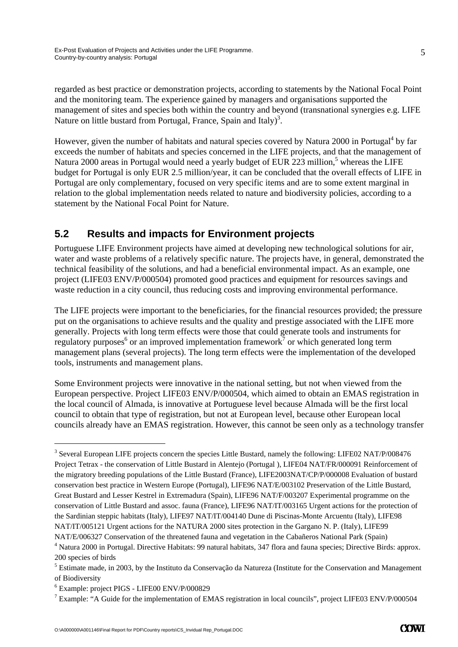regarded as best practice or demonstration projects, according to statements by the National Focal Point and the monitoring team. The experience gained by managers and organisations supported the management of sites and species both within the country and beyond (transnational synergies e.g. LIFE Nature on little bustard from Portugal, France, Spain and Italy)<sup>3</sup>.

However, given the number of habitats and natural species covered by Natura 2000 in Portugal<sup>4</sup> by far exceeds the number of habitats and species concerned in the LIFE projects, and that the management of Natura 2000 areas in Portugal would need a yearly budget of EUR 223 million,<sup>5</sup> whereas the LIFE budget for Portugal is only EUR 2.5 million/year, it can be concluded that the overall effects of LIFE in Portugal are only complementary, focused on very specific items and are to some extent marginal in relation to the global implementation needs related to nature and biodiversity policies, according to a statement by the National Focal Point for Nature.

### **5.2 Results and impacts for Environment projects**

Portuguese LIFE Environment projects have aimed at developing new technological solutions for air, water and waste problems of a relatively specific nature. The projects have, in general, demonstrated the technical feasibility of the solutions, and had a beneficial environmental impact. As an example, one project (LIFE03 ENV/P/000504) promoted good practices and equipment for resources savings and waste reduction in a city council, thus reducing costs and improving environmental performance.

The LIFE projects were important to the beneficiaries, for the financial resources provided; the pressure put on the organisations to achieve results and the quality and prestige associated with the LIFE more generally. Projects with long term effects were those that could generate tools and instruments for regulatory purposes<sup>6</sup> or an improved implementation framework<sup>7</sup> or which generated long term management plans (several projects). The long term effects were the implementation of the developed tools, instruments and management plans.

Some Environment projects were innovative in the national setting, but not when viewed from the European perspective. Project LIFE03 ENV/P/000504, which aimed to obtain an EMAS registration in the local council of Almada, is innovative at Portuguese level because Almada will be the first local council to obtain that type of registration, but not at European level, because other European local councils already have an EMAS registration. However, this cannot be seen only as a technology transfer

-

<sup>&</sup>lt;sup>3</sup> Several European LIFE projects concern the species Little Bustard, namely the following: LIFE02 NAT/P/008476 Project Tetrax - the conservation of Little Bustard in Alentejo (Portugal ), LIFE04 NAT/FR/000091 Reinforcement of the migratory breeding populations of the Little Bustard (France), LIFE2003NAT/CP/P/000008 Evaluation of bustard conservation best practice in Western Europe (Portugal), LIFE96 NAT/E/003102 Preservation of the Little Bustard, Great Bustard and Lesser Kestrel in Extremadura (Spain), LIFE96 NAT/F/003207 Experimental programme on the conservation of Little Bustard and assoc. fauna (France), LIFE96 NAT/IT/003165 Urgent actions for the protection of the Sardinian steppic habitats (Italy), LIFE97 NAT/IT/004140 Dune di Piscinas-Monte Arcuentu (Italy), LIFE98 NAT/IT/005121 Urgent actions for the NATURA 2000 sites protection in the Gargano N. P. (Italy), LIFE99 NAT/E/006327 Conservation of the threatened fauna and vegetation in the Cabañeros National Park (Spain)

<sup>&</sup>lt;sup>4</sup> Natura 2000 in Portugal. Directive Habitats: 99 natural habitats, 347 flora and fauna species; Directive Birds: approx. 200 species of birds

<sup>&</sup>lt;sup>5</sup> Estimate made, in 2003, by the Instituto da Conservação da Natureza (Institute for the Conservation and Management of Biodiversity

 $^6$  Example: project PIGS - LIFE00 ENV/P/000829

<sup>&</sup>lt;sup>7</sup> Example: "A Guide for the implementation of EMAS registration in local councils", project LIFE03 ENV/P/000504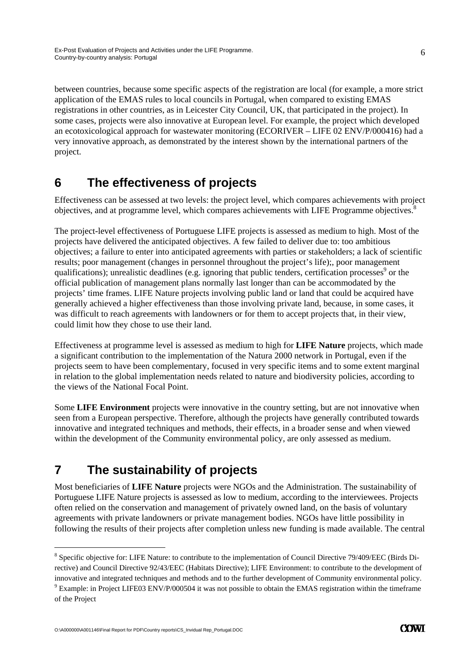between countries, because some specific aspects of the registration are local (for example, a more strict application of the EMAS rules to local councils in Portugal, when compared to existing EMAS registrations in other countries, as in Leicester City Council, UK, that participated in the project). In some cases, projects were also innovative at European level. For example, the project which developed an ecotoxicological approach for wastewater monitoring (ECORIVER – LIFE 02 ENV/P/000416) had a very innovative approach, as demonstrated by the interest shown by the international partners of the project.

## **6 The effectiveness of projects**

Effectiveness can be assessed at two levels: the project level, which compares achievements with project objectives, and at programme level, which compares achievements with LIFE Programme objectives.8

The project-level effectiveness of Portuguese LIFE projects is assessed as medium to high. Most of the projects have delivered the anticipated objectives. A few failed to deliver due to: too ambitious objectives; a failure to enter into anticipated agreements with parties or stakeholders; a lack of scientific results; poor management (changes in personnel throughout the project's life);, poor management qualifications); unrealistic deadlines (e.g. ignoring that public tenders, certification processes<sup>9</sup> or the official publication of management plans normally last longer than can be accommodated by the projects' time frames. LIFE Nature projects involving public land or land that could be acquired have generally achieved a higher effectiveness than those involving private land, because, in some cases, it was difficult to reach agreements with landowners or for them to accept projects that, in their view, could limit how they chose to use their land.

Effectiveness at programme level is assessed as medium to high for **LIFE Nature** projects, which made a significant contribution to the implementation of the Natura 2000 network in Portugal, even if the projects seem to have been complementary, focused in very specific items and to some extent marginal in relation to the global implementation needs related to nature and biodiversity policies, according to the views of the National Focal Point.

Some **LIFE Environment** projects were innovative in the country setting, but are not innovative when seen from a European perspective. Therefore, although the projects have generally contributed towards innovative and integrated techniques and methods, their effects, in a broader sense and when viewed within the development of the Community environmental policy, are only assessed as medium.

# **7 The sustainability of projects**

Most beneficiaries of **LIFE Nature** projects were NGOs and the Administration. The sustainability of Portuguese LIFE Nature projects is assessed as low to medium, according to the interviewees. Projects often relied on the conservation and management of privately owned land, on the basis of voluntary agreements with private landowners or private management bodies. NGOs have little possibility in following the results of their projects after completion unless new funding is made available. The central

-

<sup>&</sup>lt;sup>8</sup> Specific objective for: LIFE Nature: to contribute to the implementation of Council Directive 79/409/EEC (Birds Directive) and Council Directive 92/43/EEC (Habitats Directive); LIFE Environment: to contribute to the development of innovative and integrated techniques and methods and to the further development of Community environmental policy.  $9$  Example: in Project LIFE03 ENV/P/000504 it was not possible to obtain the EMAS registration within the timeframe of the Project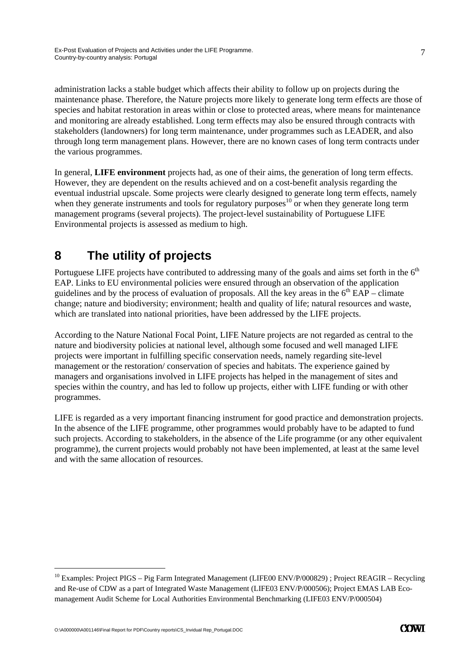administration lacks a stable budget which affects their ability to follow up on projects during the maintenance phase. Therefore, the Nature projects more likely to generate long term effects are those of species and habitat restoration in areas within or close to protected areas, where means for maintenance and monitoring are already established. Long term effects may also be ensured through contracts with stakeholders (landowners) for long term maintenance, under programmes such as LEADER, and also through long term management plans. However, there are no known cases of long term contracts under the various programmes.

In general, **LIFE environment** projects had, as one of their aims, the generation of long term effects. However, they are dependent on the results achieved and on a cost-benefit analysis regarding the eventual industrial upscale. Some projects were clearly designed to generate long term effects, namely when they generate instruments and tools for regulatory purposes<sup>10</sup> or when they generate long term management programs (several projects). The project-level sustainability of Portuguese LIFE Environmental projects is assessed as medium to high.

# **8 The utility of projects**

Portuguese LIFE projects have contributed to addressing many of the goals and aims set forth in the  $6<sup>th</sup>$ EAP. Links to EU environmental policies were ensured through an observation of the application guidelines and by the process of evaluation of proposals. All the key areas in the  $6<sup>th</sup>$  EAP – climate change; nature and biodiversity; environment; health and quality of life; natural resources and waste, which are translated into national priorities, have been addressed by the LIFE projects.

According to the Nature National Focal Point, LIFE Nature projects are not regarded as central to the nature and biodiversity policies at national level, although some focused and well managed LIFE projects were important in fulfilling specific conservation needs, namely regarding site-level management or the restoration/ conservation of species and habitats. The experience gained by managers and organisations involved in LIFE projects has helped in the management of sites and species within the country, and has led to follow up projects, either with LIFE funding or with other programmes.

LIFE is regarded as a very important financing instrument for good practice and demonstration projects. In the absence of the LIFE programme, other programmes would probably have to be adapted to fund such projects. According to stakeholders, in the absence of the Life programme (or any other equivalent programme), the current projects would probably not have been implemented, at least at the same level and with the same allocation of resources.

-

<sup>&</sup>lt;sup>10</sup> Examples: Project PIGS – Pig Farm Integrated Management (LIFE00 ENV/P/000829) ; Project REAGIR – Recycling and Re-use of CDW as a part of Integrated Waste Management (LIFE03 ENV/P/000506); Project EMAS LAB Ecomanagement Audit Scheme for Local Authorities Environmental Benchmarking (LIFE03 ENV/P/000504)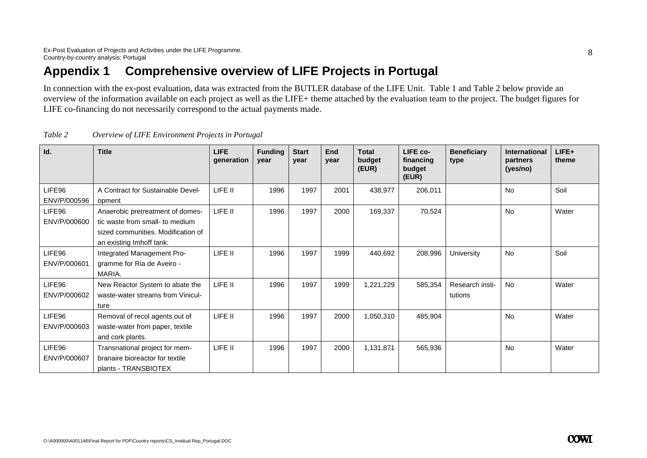## **Appendix 1 Comprehensive overview of LIFE Projects in Portugal**

In connection with the ex-post evaluation, data was extracted from the BUTLER database of the LIFE Unit. Table 1 and Table 2 below provide an overview of the information available on each project as well as the LIFE+ theme attached by the evaluation team to the project. The budget figures for LIFE co-financing do not necessarily correspond to the actual payments made.

| Id.                    | <b>Title</b>                                                                                                                          | <b>LIFE</b><br>generation | <b>Funding</b><br>year | <b>Start</b><br>year | End<br>vear | <b>Total</b><br>budget<br>(EUR) | LIFE co-<br>financing<br>budget<br>(EUR) | <b>Beneficiary</b><br>type | <b>International</b><br>partners<br>(yes/no) | LIFE+<br>theme |
|------------------------|---------------------------------------------------------------------------------------------------------------------------------------|---------------------------|------------------------|----------------------|-------------|---------------------------------|------------------------------------------|----------------------------|----------------------------------------------|----------------|
| LIFE96<br>ENV/P/000596 | A Contract for Sustainable Devel-<br>opment                                                                                           | LIFE II                   | 1996                   | 1997                 | 2001        | 438,977                         | 206,011                                  |                            | <b>No</b>                                    | Soil           |
| LIFE96<br>ENV/P/000600 | Anaerobic pretreatment of domes-<br>tic waste from small- to medium<br>sized communities. Modification of<br>an existing Imhoff tank. | LIFE II                   | 1996                   | 1997                 | 2000        | 169,337                         | 70,524                                   |                            | <b>No</b>                                    | Water          |
| LIFE96<br>ENV/P/000601 | Integrated Management Pro-<br>gramme for Ria de Aveiro -<br>MARIA.                                                                    | LIFE II                   | 1996                   | 1997                 | 1999        | 440,692                         | 208,996                                  | University                 | <b>No</b>                                    | Soil           |
| LIFE96<br>ENV/P/000602 | New Reactor System to abate the<br>waste-water streams from Vinicul-<br>ture                                                          | LIFE II                   | 1996                   | 1997                 | 1999        | 1,221,229                       | 585,354                                  | Research insti-<br>tutions | <b>No</b>                                    | Water          |
| LIFE96<br>ENV/P/000603 | Removal of recol agents out of<br>waste-water from paper, textile<br>and cork plants.                                                 | LIFE II                   | 1996                   | 1997                 | 2000        | 1,050,310                       | 485,904                                  |                            | <b>No</b>                                    | Water          |
| LIFE96<br>ENV/P/000607 | Transnational project for mem-<br>branaire bioreactor for textile<br>plants - TRANSBIOTEX                                             | LIFE II                   | 1996                   | 1997                 | 2000        | 1,131,871                       | 565,936                                  |                            | <b>No</b>                                    | Water          |

| Table 2 | Overview of LIFE Environment Projects in Portugal |  |
|---------|---------------------------------------------------|--|
|         |                                                   |  |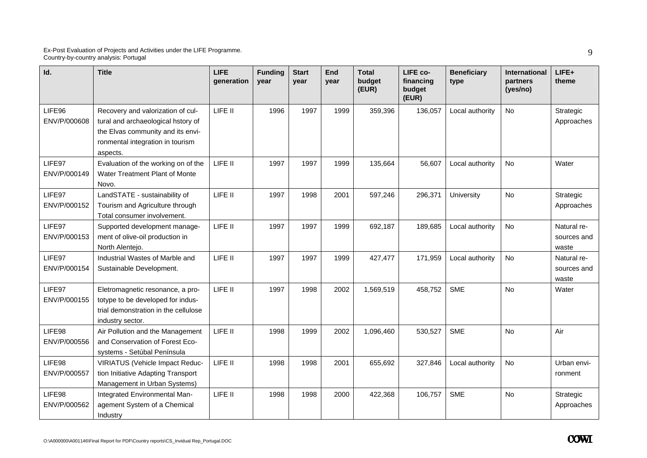| Id.                    | <b>Title</b>                                                                                                                                                 | <b>LIFE</b><br>qeneration | <b>Funding</b><br>year | <b>Start</b><br>year | End<br>year | <b>Total</b><br>budget<br>(EUR) | LIFE co-<br>financing<br>budget<br>(EUR) | <b>Beneficiary</b><br>type | International<br>partners<br>(yes/no) | LIFE+<br>theme                      |
|------------------------|--------------------------------------------------------------------------------------------------------------------------------------------------------------|---------------------------|------------------------|----------------------|-------------|---------------------------------|------------------------------------------|----------------------------|---------------------------------------|-------------------------------------|
| LIFE96<br>ENV/P/000608 | Recovery and valorization of cul-<br>tural and archaeological hstory of<br>the Elvas community and its envi-<br>ronmental integration in tourism<br>aspects. | LIFE II                   | 1996                   | 1997                 | 1999        | 359,396                         | 136,057                                  | Local authority            | <b>No</b>                             | Strategic<br>Approaches             |
| LIFE97<br>ENV/P/000149 | Evaluation of the working on of the<br>Water Treatment Plant of Monte<br>Novo.                                                                               | LIFE II                   | 1997                   | 1997                 | 1999        | 135,664                         | 56,607                                   | Local authority            | <b>No</b>                             | Water                               |
| LIFE97<br>ENV/P/000152 | LandSTATE - sustainability of<br>Tourism and Agriculture through<br>Total consumer involvement.                                                              | LIFE II                   | 1997                   | 1998                 | 2001        | 597,246                         | 296,371                                  | University                 | <b>No</b>                             | Strategic<br>Approaches             |
| LIFE97<br>ENV/P/000153 | Supported development manage-<br>ment of olive-oil production in<br>North Alentejo.                                                                          | LIFE II                   | 1997                   | 1997                 | 1999        | 692,187                         | 189,685                                  | Local authority            | <b>No</b>                             | Natural re-<br>sources and<br>waste |
| LIFE97<br>ENV/P/000154 | Industrial Wastes of Marble and<br>Sustainable Development.                                                                                                  | LIFE II                   | 1997                   | 1997                 | 1999        | 427,477                         | 171,959                                  | Local authority            | <b>No</b>                             | Natural re-<br>sources and<br>waste |
| LIFE97<br>ENV/P/000155 | Eletromagnetic resonance, a pro-<br>totype to be developed for indus-<br>trial demonstration in the cellulose<br>industry sector.                            | LIFE II                   | 1997                   | 1998                 | 2002        | 1,569,519                       | 458,752                                  | <b>SME</b>                 | <b>No</b>                             | Water                               |
| LIFE98<br>ENV/P/000556 | Air Pollution and the Management<br>and Conservation of Forest Eco-<br>systems - Setúbal Península                                                           | LIFE II                   | 1998                   | 1999                 | 2002        | 1,096,460                       | 530,527                                  | <b>SME</b>                 | No                                    | Air                                 |
| LIFE98<br>ENV/P/000557 | <b>VIRIATUS (Vehicle Impact Reduc-</b><br>tion Initiative Adapting Transport<br>Management in Urban Systems)                                                 | LIFE II                   | 1998                   | 1998                 | 2001        | 655,692                         | 327,846                                  | Local authority            | <b>No</b>                             | Urban envi-<br>ronment              |
| LIFE98<br>ENV/P/000562 | Integrated Environmental Man-<br>agement System of a Chemical<br>Industry                                                                                    | LIFE II                   | 1998                   | 1998                 | 2000        | 422,368                         | 106,757                                  | <b>SME</b>                 | <b>No</b>                             | Strategic<br>Approaches             |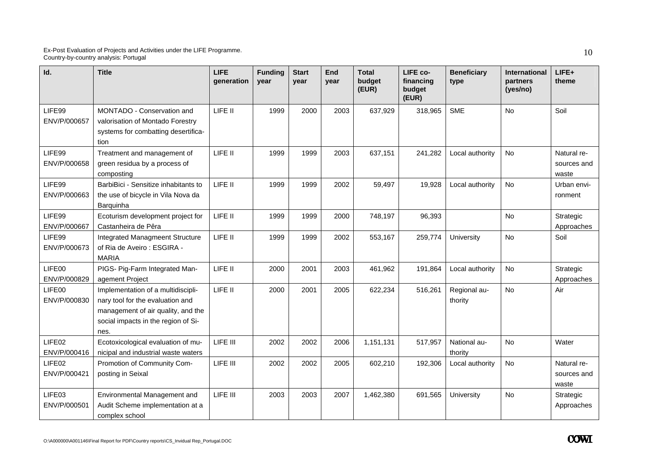| Id.                    | <b>Title</b>                                                                                                                                                | <b>LIFE</b><br>generation | <b>Funding</b><br>year | <b>Start</b><br>year | End<br>year | <b>Total</b><br>budget<br>(EUR) | LIFE co-<br>financing<br>budget<br>(EUR) | <b>Beneficiary</b><br>type | <b>International</b><br>partners<br>(yes/no) | LIFE+<br>theme                      |
|------------------------|-------------------------------------------------------------------------------------------------------------------------------------------------------------|---------------------------|------------------------|----------------------|-------------|---------------------------------|------------------------------------------|----------------------------|----------------------------------------------|-------------------------------------|
| LIFE99<br>ENV/P/000657 | MONTADO - Conservation and<br>valorisation of Montado Forestry<br>systems for combatting desertifica-<br>tion                                               | LIFE II                   | 1999                   | 2000                 | 2003        | 637,929                         | 318,965                                  | <b>SME</b>                 | <b>No</b>                                    | Soil                                |
| LIFE99<br>ENV/P/000658 | Treatment and management of<br>green residua by a process of<br>composting                                                                                  | LIFE II                   | 1999                   | 1999                 | 2003        | 637,151                         | 241,282                                  | Local authority            | <b>No</b>                                    | Natural re-<br>sources and<br>waste |
| LIFE99<br>ENV/P/000663 | BarbiBici - Sensitize inhabitants to<br>the use of bicycle in Vila Nova da<br>Barguinha                                                                     | LIFE II                   | 1999                   | 1999                 | 2002        | 59,497                          | 19,928                                   | Local authority            | No                                           | Urban envi-<br>ronment              |
| LIFE99<br>ENV/P/000667 | Ecoturism development project for<br>Castanheira de Pêra                                                                                                    | LIFE II                   | 1999                   | 1999                 | 2000        | 748,197                         | 96,393                                   |                            | <b>No</b>                                    | Strategic<br>Approaches             |
| LIFE99<br>ENV/P/000673 | <b>Integrated Managmeent Structure</b><br>of Ria de Aveiro: ESGIRA -<br><b>MARIA</b>                                                                        | LIFE II                   | 1999                   | 1999                 | 2002        | 553,167                         | 259,774                                  | University                 | <b>No</b>                                    | Soil                                |
| LIFE00<br>ENV/P/000829 | PIGS- Pig-Farm Integrated Man-<br>agement Project                                                                                                           | LIFE II                   | 2000                   | 2001                 | 2003        | 461,962                         | 191,864                                  | Local authority            | <b>No</b>                                    | Strategic<br>Approaches             |
| LIFE00<br>ENV/P/000830 | Implementation of a multidiscipli-<br>nary tool for the evaluation and<br>management of air quality, and the<br>social impacts in the region of Si-<br>nes. | LIFE II                   | 2000                   | 2001                 | 2005        | 622,234                         | 516,261                                  | Regional au-<br>thority    | <b>No</b>                                    | Air                                 |
| LIFE02<br>ENV/P/000416 | Ecotoxicological evaluation of mu-<br>nicipal and industrial waste waters                                                                                   | LIFE III                  | 2002                   | 2002                 | 2006        | 1,151,131                       | 517,957                                  | National au-<br>thority    | No                                           | Water                               |
| LIFE02<br>ENV/P/000421 | Promotion of Community Com-<br>posting in Seixal                                                                                                            | LIFE III                  | 2002                   | 2002                 | 2005        | 602,210                         | 192,306                                  | Local authority            | No                                           | Natural re-<br>sources and<br>waste |
| LIFE03<br>ENV/P/000501 | Environmental Management and<br>Audit Scheme implementation at a<br>complex school                                                                          | LIFE III                  | 2003                   | 2003                 | 2007        | 1,462,380                       | 691,565                                  | University                 | <b>No</b>                                    | Strategic<br>Approaches             |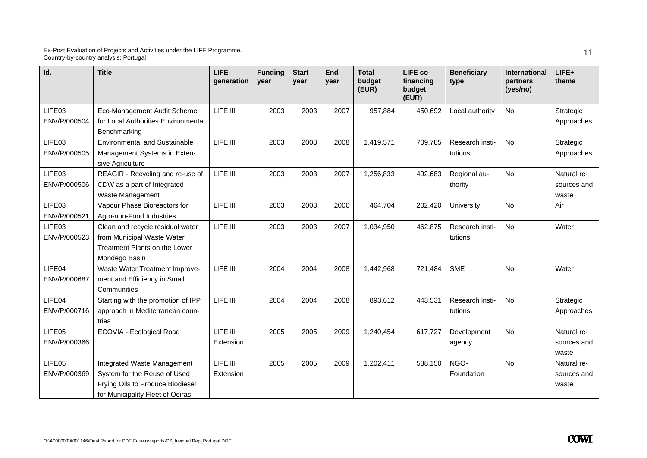| Id.                    | <b>Title</b>                                                                                                                        | <b>LIFE</b><br>generation | <b>Funding</b><br>year | <b>Start</b><br>year | End<br>year | <b>Total</b><br>budget<br>(EUR) | LIFE co-<br>financing<br>budget<br>(EUR) | <b>Beneficiary</b><br>type | <b>International</b><br>partners<br>(yes/no) | LIFE+<br>theme                      |
|------------------------|-------------------------------------------------------------------------------------------------------------------------------------|---------------------------|------------------------|----------------------|-------------|---------------------------------|------------------------------------------|----------------------------|----------------------------------------------|-------------------------------------|
| LIFE03<br>ENV/P/000504 | Eco-Management Audit Scheme<br>for Local Authorities Environmental<br>Benchmarking                                                  | LIFE III                  | 2003                   | 2003                 | 2007        | 957,884                         | 450,692                                  | Local authority            | <b>No</b>                                    | Strategic<br>Approaches             |
| LIFE03<br>ENV/P/000505 | <b>Environmental and Sustainable</b><br>Management Systems in Exten-<br>sive Agriculture                                            | LIFE III                  | 2003                   | 2003                 | 2008        | 1,419,571                       | 709,785                                  | Research insti-<br>tutions | <b>No</b>                                    | Strategic<br>Approaches             |
| LIFE03<br>ENV/P/000506 | REAGIR - Recycling and re-use of<br>CDW as a part of Integrated<br>Waste Management                                                 | LIFE III                  | 2003                   | 2003                 | 2007        | 1,256,833                       | 492,683                                  | Regional au-<br>thority    | <b>No</b>                                    | Natural re-<br>sources and<br>waste |
| LIFE03<br>ENV/P/000521 | Vapour Phase Bioreactors for<br>Agro-non-Food Industries                                                                            | LIFE III                  | 2003                   | 2003                 | 2006        | 464,704                         | 202,420                                  | University                 | <b>No</b>                                    | Air                                 |
| LIFE03<br>ENV/P/000523 | Clean and recycle residual water<br>from Municipal Waste Water<br>Treatment Plants on the Lower<br>Mondego Basin                    | LIFE III                  | 2003                   | 2003                 | 2007        | 1,034,950                       | 462,875                                  | Research insti-<br>tutions | <b>No</b>                                    | Water                               |
| LIFE04<br>ENV/P/000687 | Waste Water Treatment Improve-<br>ment and Efficiency in Small<br>Communities                                                       | LIFE III                  | 2004                   | 2004                 | 2008        | 1,442,968                       | 721,484                                  | <b>SME</b>                 | No                                           | Water                               |
| LIFE04<br>ENV/P/000716 | Starting with the promotion of IPP<br>approach in Mediterranean coun-<br>tries                                                      | LIFE III                  | 2004                   | 2004                 | 2008        | 893,612                         | 443,531                                  | Research insti-<br>tutions | No                                           | Strategic<br>Approaches             |
| LIFE05<br>ENV/P/000366 | ECOVIA - Ecological Road                                                                                                            | LIFE III<br>Extension     | 2005                   | 2005                 | 2009        | 1,240,454                       | 617,727                                  | Development<br>agency      | No                                           | Natural re-<br>sources and<br>waste |
| LIFE05<br>ENV/P/000369 | Integrated Waste Management<br>System for the Reuse of Used<br>Frying Oils to Produce Biodiesel<br>for Municipality Fleet of Oeiras | LIFE III<br>Extension     | 2005                   | 2005                 | 2009        | 1,202,411                       | 588,150                                  | NGO-<br>Foundation         | <b>No</b>                                    | Natural re-<br>sources and<br>waste |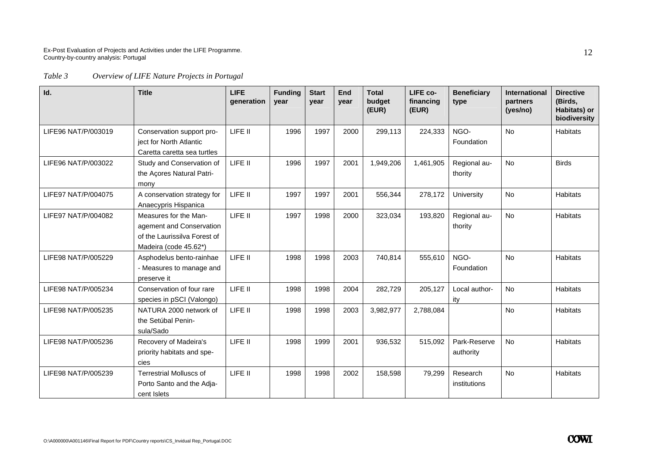*Table 3 Overview of LIFE Nature Projects in Portugal* 

| Id.                 | <b>Title</b>                                                                                               | <b>LIFE</b><br>generation | <b>Funding</b><br>year | <b>Start</b><br>year | End<br>year | <b>Total</b><br>budget<br>(EUR) | LIFE co-<br>financing<br>(EUR) | <b>Beneficiary</b><br>type | <b>International</b><br>partners<br>(yes/no) | <b>Directive</b><br>(Birds,<br>Habitats) or<br>biodiversity |
|---------------------|------------------------------------------------------------------------------------------------------------|---------------------------|------------------------|----------------------|-------------|---------------------------------|--------------------------------|----------------------------|----------------------------------------------|-------------------------------------------------------------|
| LIFE96 NAT/P/003019 | Conservation support pro-<br>ject for North Atlantic<br>Caretta caretta sea turtles                        | LIFE II                   | 1996                   | 1997                 | 2000        | 299,113                         | 224,333                        | NGO-<br>Foundation         | <b>No</b>                                    | <b>Habitats</b>                                             |
| LIFE96 NAT/P/003022 | Study and Conservation of<br>the Açores Natural Patri-<br>mony                                             | LIFE II                   | 1996                   | 1997                 | 2001        | 1,949,206                       | 1,461,905                      | Regional au-<br>thority    | <b>No</b>                                    | <b>Birds</b>                                                |
| LIFE97 NAT/P/004075 | A conservation strategy for<br>Anaecypris Hispanica                                                        | LIFE II                   | 1997                   | 1997                 | 2001        | 556,344                         | 278,172                        | University                 | No                                           | <b>Habitats</b>                                             |
| LIFE97 NAT/P/004082 | Measures for the Man-<br>agement and Conservation<br>of the Laurissilva Forest of<br>Madeira (code 45.62*) | LIFE II                   | 1997                   | 1998                 | 2000        | 323,034                         | 193,820                        | Regional au-<br>thority    | <b>No</b>                                    | <b>Habitats</b>                                             |
| LIFE98 NAT/P/005229 | Asphodelus bento-rainhae<br>- Measures to manage and<br>preserve it                                        | LIFE II                   | 1998                   | 1998                 | 2003        | 740,814                         | 555,610                        | NGO-<br>Foundation         | <b>No</b>                                    | <b>Habitats</b>                                             |
| LIFE98 NAT/P/005234 | Conservation of four rare<br>species in pSCI (Valongo)                                                     | LIFE II                   | 1998                   | 1998                 | 2004        | 282,729                         | 205,127                        | Local author-<br>ity       | <b>No</b>                                    | <b>Habitats</b>                                             |
| LIFE98 NAT/P/005235 | NATURA 2000 network of<br>the Setúbal Penin-<br>sula/Sado                                                  | LIFE II                   | 1998                   | 1998                 | 2003        | 3,982,977                       | 2,788,084                      |                            | <b>No</b>                                    | <b>Habitats</b>                                             |
| LIFE98 NAT/P/005236 | Recovery of Madeira's<br>priority habitats and spe-<br>cies                                                | LIFE II                   | 1998                   | 1999                 | 2001        | 936,532                         | 515,092                        | Park-Reserve<br>authority  | <b>No</b>                                    | <b>Habitats</b>                                             |
| LIFE98 NAT/P/005239 | <b>Terrestrial Molluscs of</b><br>Porto Santo and the Adja-<br>cent Islets                                 | LIFE II                   | 1998                   | 1998                 | 2002        | 158,598                         | 79,299                         | Research<br>institutions   | <b>No</b>                                    | <b>Habitats</b>                                             |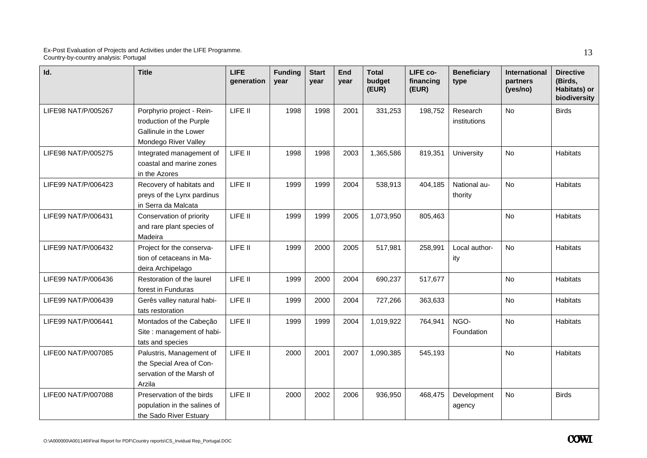| Id.                 | <b>Title</b>                                                                                            | <b>LIFE</b><br>generation | <b>Funding</b><br>year | <b>Start</b><br>year | <b>End</b><br>year | <b>Total</b><br>budget<br>(EUR) | LIFE co-<br>financing<br>(EUR) | <b>Beneficiary</b><br>type | International<br>partners<br>(yes/no) | <b>Directive</b><br>(Birds,<br>Habitats) or<br>biodiversity |
|---------------------|---------------------------------------------------------------------------------------------------------|---------------------------|------------------------|----------------------|--------------------|---------------------------------|--------------------------------|----------------------------|---------------------------------------|-------------------------------------------------------------|
| LIFE98 NAT/P/005267 | Porphyrio project - Rein-<br>troduction of the Purple<br>Gallinule in the Lower<br>Mondego River Valley | LIFE II                   | 1998                   | 1998                 | 2001               | 331,253                         | 198,752                        | Research<br>institutions   | <b>No</b>                             | <b>Birds</b>                                                |
| LIFE98 NAT/P/005275 | Integrated management of<br>coastal and marine zones<br>in the Azores                                   | LIFE II                   | 1998                   | 1998                 | 2003               | 1,365,586                       | 819,351                        | University                 | No                                    | <b>Habitats</b>                                             |
| LIFE99 NAT/P/006423 | Recovery of habitats and<br>preys of the Lynx pardinus<br>in Serra da Malcata                           | LIFE II                   | 1999                   | 1999                 | 2004               | 538,913                         | 404,185                        | National au-<br>thority    | <b>No</b>                             | <b>Habitats</b>                                             |
| LIFE99 NAT/P/006431 | Conservation of priority<br>and rare plant species of<br>Madeira                                        | LIFE II                   | 1999                   | 1999                 | 2005               | 1,073,950                       | 805,463                        |                            | <b>No</b>                             | <b>Habitats</b>                                             |
| LIFE99 NAT/P/006432 | Project for the conserva-<br>tion of cetaceans in Ma-<br>deira Archipelago                              | LIFE II                   | 1999                   | 2000                 | 2005               | 517,981                         | 258,991                        | Local author-<br>ity       | <b>No</b>                             | <b>Habitats</b>                                             |
| LIFE99 NAT/P/006436 | Restoration of the laurel<br>forest in Funduras                                                         | LIFE II                   | 1999                   | 2000                 | 2004               | 690,237                         | 517,677                        |                            | No                                    | <b>Habitats</b>                                             |
| LIFE99 NAT/P/006439 | Gerês valley natural habi-<br>tats restoration                                                          | LIFE II                   | 1999                   | 2000                 | 2004               | 727,266                         | 363,633                        |                            | No                                    | Habitats                                                    |
| LIFE99 NAT/P/006441 | Montados of the Cabeção<br>Site : management of habi-<br>tats and species                               | LIFE II                   | 1999                   | 1999                 | 2004               | 1,019,922                       | 764,941                        | NGO-<br>Foundation         | <b>No</b>                             | <b>Habitats</b>                                             |
| LIFE00 NAT/P/007085 | Palustris, Management of<br>the Special Area of Con-<br>servation of the Marsh of<br>Arzila             | LIFE II                   | 2000                   | 2001                 | 2007               | 1,090,385                       | 545,193                        |                            | <b>No</b>                             | <b>Habitats</b>                                             |
| LIFE00 NAT/P/007088 | Preservation of the birds<br>population in the salines of<br>the Sado River Estuary                     | LIFE II                   | 2000                   | 2002                 | 2006               | 936,950                         | 468,475                        | Development<br>agency      | <b>No</b>                             | <b>Birds</b>                                                |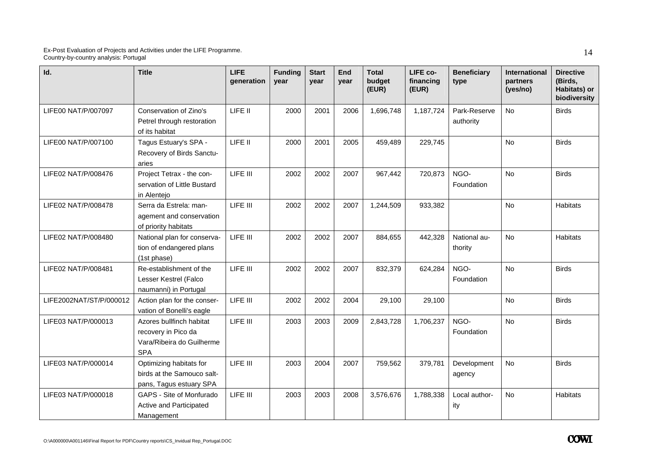| Id.                     | <b>Title</b>                                                                               | <b>LIFE</b><br>generation | <b>Funding</b><br>year | <b>Start</b><br>vear | <b>End</b><br>year | <b>Total</b><br>budget<br>(EUR) | LIFE co-<br>financing<br>(EUR) | <b>Beneficiary</b><br>type | International<br>partners<br>(yes/no) | <b>Directive</b><br>(Birds,<br>Habitats) or<br>biodiversity |
|-------------------------|--------------------------------------------------------------------------------------------|---------------------------|------------------------|----------------------|--------------------|---------------------------------|--------------------------------|----------------------------|---------------------------------------|-------------------------------------------------------------|
| LIFE00 NAT/P/007097     | Conservation of Zino's<br>Petrel through restoration<br>of its habitat                     | LIFE II                   | 2000                   | 2001                 | 2006               | 1,696,748                       | 1,187,724                      | Park-Reserve<br>authority  | <b>No</b>                             | <b>Birds</b>                                                |
| LIFE00 NAT/P/007100     | Tagus Estuary's SPA -<br>Recovery of Birds Sanctu-<br>aries                                | LIFE II                   | 2000                   | 2001                 | 2005               | 459,489                         | 229,745                        |                            | <b>No</b>                             | <b>Birds</b>                                                |
| LIFE02 NAT/P/008476     | Project Tetrax - the con-<br>servation of Little Bustard<br>in Alentejo                    | LIFE III                  | 2002                   | 2002                 | 2007               | 967,442                         | 720,873                        | NGO-<br>Foundation         | <b>No</b>                             | <b>Birds</b>                                                |
| LIFE02 NAT/P/008478     | Serra da Estrela: man-<br>agement and conservation<br>of priority habitats                 | LIFE III                  | 2002                   | 2002                 | 2007               | 1,244,509                       | 933,382                        |                            | <b>No</b>                             | <b>Habitats</b>                                             |
| LIFE02 NAT/P/008480     | National plan for conserva-<br>tion of endangered plans<br>(1st phase)                     | LIFE III                  | 2002                   | 2002                 | 2007               | 884,655                         | 442,328                        | National au-<br>thority    | <b>No</b>                             | <b>Habitats</b>                                             |
| LIFE02 NAT/P/008481     | Re-establishment of the<br>Lesser Kestrel (Falco<br>naumanni) in Portugal                  | LIFE III                  | 2002                   | 2002                 | 2007               | 832,379                         | 624,284                        | NGO-<br>Foundation         | <b>No</b>                             | <b>Birds</b>                                                |
| LIFE2002NAT/ST/P/000012 | Action plan for the conser-<br>vation of Bonelli's eagle                                   | LIFE III                  | 2002                   | 2002                 | 2004               | 29,100                          | 29,100                         |                            | <b>No</b>                             | <b>Birds</b>                                                |
| LIFE03 NAT/P/000013     | Azores bullfinch habitat<br>recovery in Pico da<br>Vara/Ribeira do Guilherme<br><b>SPA</b> | LIFE III                  | 2003                   | 2003                 | 2009               | 2,843,728                       | 1,706,237                      | NGO-<br>Foundation         | <b>No</b>                             | <b>Birds</b>                                                |
| LIFE03 NAT/P/000014     | Optimizing habitats for<br>birds at the Samouco salt-<br>pans, Tagus estuary SPA           | LIFE III                  | 2003                   | 2004                 | 2007               | 759,562                         | 379,781                        | Development<br>agency      | <b>No</b>                             | <b>Birds</b>                                                |
| LIFE03 NAT/P/000018     | GAPS - Site of Monfurado<br>Active and Participated<br>Management                          | LIFE III                  | 2003                   | 2003                 | 2008               | 3,576,676                       | 1,788,338                      | Local author-<br>ity       | <b>No</b>                             | <b>Habitats</b>                                             |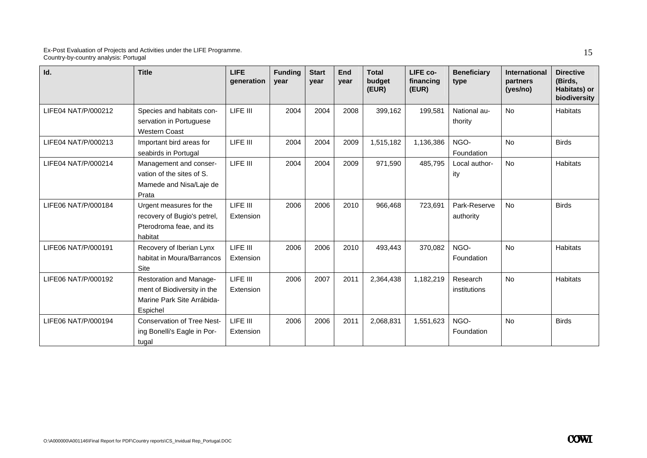| Id.                 | <b>Title</b>                                                                                     | <b>LIFE</b><br>generation | <b>Funding</b><br>vear | <b>Start</b><br>vear | End<br>year | <b>Total</b><br>budget<br>(EUR) | LIFE co-<br>financing<br>(EUR) | <b>Beneficiary</b><br>type | International<br>partners<br>(yes/no) | <b>Directive</b><br>(Birds,<br>Habitats) or<br>biodiversity |
|---------------------|--------------------------------------------------------------------------------------------------|---------------------------|------------------------|----------------------|-------------|---------------------------------|--------------------------------|----------------------------|---------------------------------------|-------------------------------------------------------------|
| LIFE04 NAT/P/000212 | Species and habitats con-<br>servation in Portuguese<br><b>Western Coast</b>                     | LIFE III                  | 2004                   | 2004                 | 2008        | 399,162                         | 199,581                        | National au-<br>thority    | No                                    | <b>Habitats</b>                                             |
| LIFE04 NAT/P/000213 | Important bird areas for<br>seabirds in Portugal                                                 | LIFE III                  | 2004                   | 2004                 | 2009        | 1,515,182                       | 1,136,386                      | NGO-<br>Foundation         | <b>No</b>                             | <b>Birds</b>                                                |
| LIFE04 NAT/P/000214 | Management and conser-<br>vation of the sites of S.<br>Mamede and Nisa/Laje de<br>Prata          | LIFE III                  | 2004                   | 2004                 | 2009        | 971,590                         | 485,795                        | Local author-<br>ity       | <b>No</b>                             | <b>Habitats</b>                                             |
| LIFE06 NAT/P/000184 | Urgent measures for the<br>recovery of Bugio's petrel,<br>Pterodroma feae, and its<br>habitat    | LIFE III<br>Extension     | 2006                   | 2006                 | 2010        | 966,468                         | 723,691                        | Park-Reserve<br>authority  | <b>No</b>                             | <b>Birds</b>                                                |
| LIFE06 NAT/P/000191 | Recovery of Iberian Lynx<br>habitat in Moura/Barrancos<br><b>Site</b>                            | LIFE III<br>Extension     | 2006                   | 2006                 | 2010        | 493,443                         | 370.082                        | NGO-<br>Foundation         | No                                    | <b>Habitats</b>                                             |
| LIFE06 NAT/P/000192 | Restoration and Manage-<br>ment of Biodiversity in the<br>Marine Park Site Arrábida-<br>Espichel | LIFE III<br>Extension     | 2006                   | 2007                 | 2011        | 2,364,438                       | 1,182,219                      | Research<br>institutions   | <b>No</b>                             | <b>Habitats</b>                                             |
| LIFE06 NAT/P/000194 | <b>Conservation of Tree Nest-</b><br>ing Bonelli's Eagle in Por-<br>tugal                        | LIFE III<br>Extension     | 2006                   | 2006                 | 2011        | 2,068,831                       | 1,551,623                      | NGO-<br>Foundation         | <b>No</b>                             | <b>Birds</b>                                                |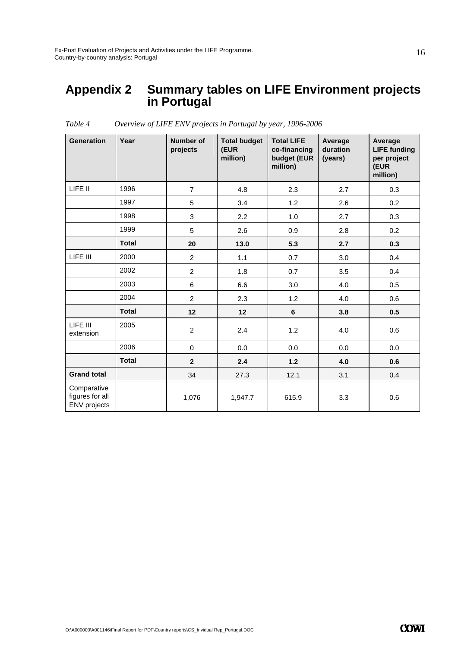### **Appendix 2 Summary tables on LIFE Environment projects in Portugal**

| <b>Generation</b>                              | Year         | Number of<br>projects | <b>Total budget</b><br>(EUR<br>million) | <b>Total LIFE</b><br>co-financing<br>budget (EUR<br>million) | Average<br>duration<br>(years) | Average<br><b>LIFE funding</b><br>per project<br>(EUR<br>million) |
|------------------------------------------------|--------------|-----------------------|-----------------------------------------|--------------------------------------------------------------|--------------------------------|-------------------------------------------------------------------|
| LIFE II                                        | 1996         | $\overline{7}$        | 4.8                                     | 2.3                                                          | 2.7                            | 0.3                                                               |
|                                                | 1997         | 5                     | 3.4                                     | 1.2                                                          | 2.6                            | 0.2                                                               |
|                                                | 1998         | 3                     | 2.2                                     | 1.0                                                          | 2.7                            | 0.3                                                               |
|                                                | 1999         | 5                     | 2.6                                     | 0.9                                                          | 2.8                            | 0.2                                                               |
|                                                | <b>Total</b> | 20                    | 13.0                                    | 5.3                                                          | 2.7                            | 0.3                                                               |
| LIFE III                                       | 2000         | $\overline{2}$        | 1.1                                     | 0.7                                                          | 3.0                            | 0.4                                                               |
|                                                | 2002         | $\overline{c}$        | 1.8                                     | 0.7                                                          | 3.5                            | 0.4                                                               |
|                                                | 2003         | 6                     | 6.6                                     | 3.0                                                          | 4.0                            | 0.5                                                               |
|                                                | 2004         | $\overline{2}$        | 2.3                                     | 1.2                                                          | 4.0                            | 0.6                                                               |
|                                                | <b>Total</b> | 12                    | 12                                      | $6\phantom{a}$                                               | 3.8                            | 0.5                                                               |
| LIFE III<br>extension                          | 2005         | $\overline{2}$        | 2.4                                     | 1.2                                                          | 4.0                            | 0.6                                                               |
|                                                | 2006         | $\mathbf 0$           | 0.0                                     | 0.0                                                          | 0.0                            | 0.0                                                               |
|                                                | <b>Total</b> | $\mathbf{2}$          | 2.4                                     | $1.2$                                                        | 4.0                            | 0.6                                                               |
| <b>Grand total</b>                             |              | 34                    | 27.3                                    | 12.1                                                         | 3.1                            | 0.4                                                               |
| Comparative<br>figures for all<br>ENV projects |              | 1,076                 | 1,947.7                                 | 615.9                                                        | 3.3                            | 0.6                                                               |

*Table 4 Overview of LIFE ENV projects in Portugal by year, 1996-2006*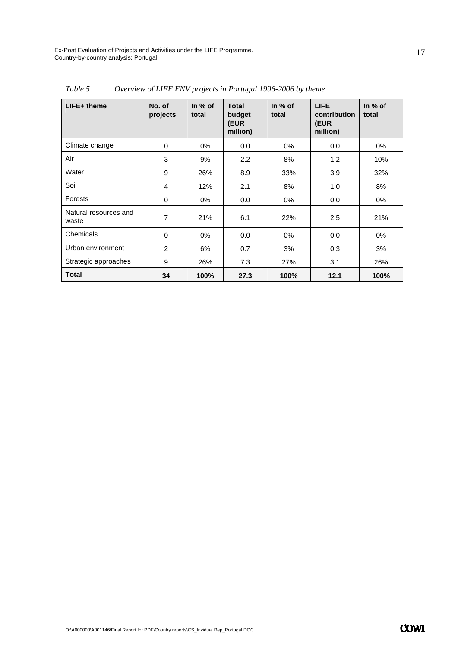| $LIFE+$ theme                  | No. of<br>projects | In $%$ of<br>total | <b>Total</b><br>budget<br>(EUR<br>million) | In $%$ of<br>total | <b>LIFE</b><br>contribution<br>(EUR<br>million) | In $%$ of<br>total |
|--------------------------------|--------------------|--------------------|--------------------------------------------|--------------------|-------------------------------------------------|--------------------|
| Climate change                 | 0                  | $0\%$              | 0.0                                        | $0\%$              | 0.0                                             | 0%                 |
| Air                            | 3                  | 9%                 | 2.2                                        | 8%                 | 1.2                                             | 10%                |
| Water                          | 9                  | 26%                | 8.9                                        | 33%                | 3.9                                             | 32%                |
| Soil                           | 4                  | 12%                | 2.1                                        | 8%                 | 1.0                                             | 8%                 |
| Forests                        | 0                  | $0\%$              | 0.0                                        | $0\%$              | 0.0                                             | 0%                 |
| Natural resources and<br>waste | 7                  | 21%                | 6.1                                        | 22%                | 2.5                                             | 21%                |
| Chemicals                      | 0                  | $0\%$              | 0.0                                        | $0\%$              | 0.0                                             | 0%                 |
| Urban environment              | $\overline{2}$     | 6%                 | 0.7                                        | 3%                 | 0.3                                             | 3%                 |
| Strategic approaches           | 9                  | 26%                | 7.3                                        | 27%                | 3.1                                             | 26%                |
| <b>Total</b>                   | 34                 | 100%               | 27.3                                       | 100%               | 12.1                                            | 100%               |

*Table 5 Overview of LIFE ENV projects in Portugal 1996-2006 by theme*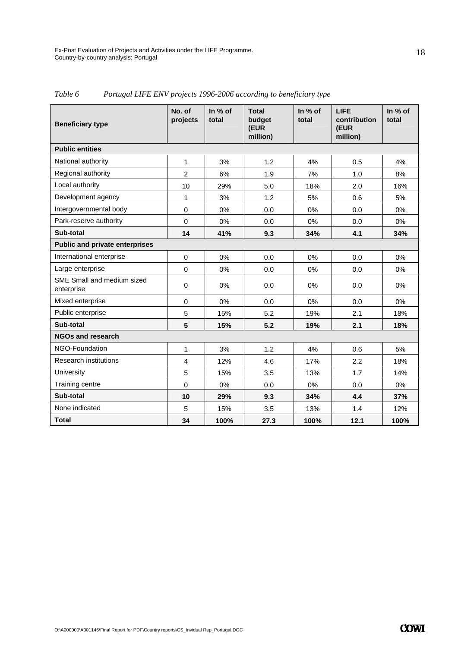| <b>Beneficiary type</b>                  | No. of<br>projects | In % of<br>total | <b>Total</b><br>budget<br>(EUR<br>million) | In % of<br>total | <b>LIFE</b><br>contribution<br>(EUR<br>million) | In % of<br>total |  |  |
|------------------------------------------|--------------------|------------------|--------------------------------------------|------------------|-------------------------------------------------|------------------|--|--|
| <b>Public entities</b>                   |                    |                  |                                            |                  |                                                 |                  |  |  |
| National authority                       | 1                  | 3%               | 1.2                                        | 4%               | 0.5                                             | 4%               |  |  |
| Regional authority                       | $\overline{2}$     | 6%               | 1.9                                        | 7%               | 1.0                                             | 8%               |  |  |
| Local authority                          | 10                 | 29%              | 5.0                                        | 18%              | 2.0                                             | 16%              |  |  |
| Development agency                       | $\mathbf{1}$       | 3%               | 1.2                                        | 5%               | 0.6                                             | 5%               |  |  |
| Intergovernmental body                   | $\mathbf 0$        | 0%               | 0.0                                        | 0%               | 0.0                                             | 0%               |  |  |
| Park-reserve authority                   | $\mathbf 0$        | 0%               | 0.0                                        | 0%               | 0.0                                             | $0\%$            |  |  |
| Sub-total                                | 14                 | 41%              | 9.3                                        | 34%              | 4.1                                             | 34%              |  |  |
| <b>Public and private enterprises</b>    |                    |                  |                                            |                  |                                                 |                  |  |  |
| International enterprise                 | $\Omega$           | 0%               | 0.0                                        | 0%               | 0.0                                             | 0%               |  |  |
| Large enterprise                         | $\Omega$           | 0%               | 0.0                                        | 0%               | 0.0                                             | 0%               |  |  |
| SME Small and medium sized<br>enterprise | $\mathbf 0$        | 0%               | 0.0                                        | 0%               | 0.0                                             | 0%               |  |  |
| Mixed enterprise                         | $\Omega$           | 0%               | 0.0                                        | 0%               | 0.0                                             | 0%               |  |  |
| Public enterprise                        | 5                  | 15%              | 5.2                                        | 19%              | 2.1                                             | 18%              |  |  |
| Sub-total                                | 5                  | 15%              | 5.2                                        | 19%              | 2.1                                             | 18%              |  |  |
| <b>NGOs and research</b>                 |                    |                  |                                            |                  |                                                 |                  |  |  |
| NGO-Foundation                           | 1                  | 3%               | 1.2                                        | 4%               | 0.6                                             | 5%               |  |  |
| <b>Research institutions</b>             | 4                  | 12%              | 4.6                                        | 17%              | 2.2                                             | 18%              |  |  |
| University                               | 5                  | 15%              | 3.5                                        | 13%              | 1.7                                             | 14%              |  |  |
| Training centre                          | $\Omega$           | 0%               | 0.0                                        | 0%               | 0.0                                             | $0\%$            |  |  |
| Sub-total                                | 10                 | 29%              | 9.3                                        | 34%              | 4.4                                             | 37%              |  |  |
| None indicated                           | 5                  | 15%              | 3.5                                        | 13%              | 1.4                                             | 12%              |  |  |
| <b>Total</b>                             | 34                 | 100%             | 27.3                                       | 100%             | 12.1                                            | 100%             |  |  |

*Table 6 Portugal LIFE ENV projects 1996-2006 according to beneficiary type*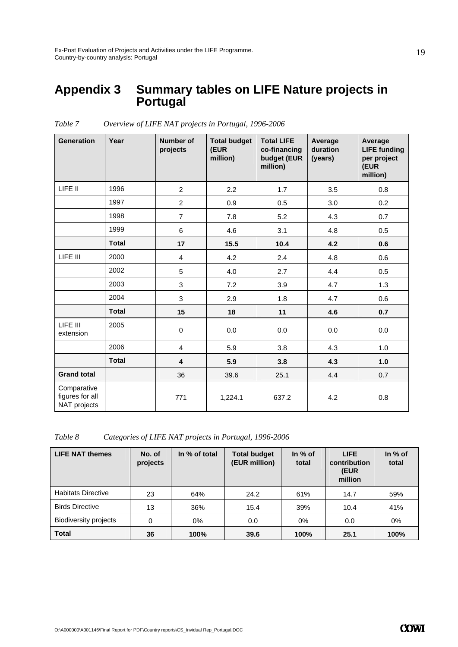### **Appendix 3 Summary tables on LIFE Nature projects in Portugal**

| <b>Generation</b>                              | Year         | <b>Number of</b><br>projects | <b>Total budget</b><br>(EUR<br>million) | <b>Total LIFE</b><br>co-financing<br>budget (EUR<br>million) | Average<br>duration<br>(years) | Average<br><b>LIFE funding</b><br>per project<br>(EUR<br>million) |
|------------------------------------------------|--------------|------------------------------|-----------------------------------------|--------------------------------------------------------------|--------------------------------|-------------------------------------------------------------------|
| LIFE II                                        | 1996         | $\overline{2}$               | 2.2                                     | 1.7                                                          | 3.5                            | 0.8                                                               |
|                                                | 1997         | $\overline{2}$               | 0.9                                     | 0.5                                                          | 3.0                            | 0.2                                                               |
|                                                | 1998         | $\overline{7}$               | 7.8                                     | 5.2                                                          | 4.3                            | 0.7                                                               |
|                                                | 1999         | 6                            | 4.6                                     | 3.1                                                          | 4.8                            | 0.5                                                               |
|                                                | <b>Total</b> | 17                           | 15.5                                    | 10.4                                                         | 4.2                            | 0.6                                                               |
| LIFE III                                       | 2000         | $\overline{4}$               | 4.2                                     | 2.4                                                          | 4.8                            | 0.6                                                               |
|                                                | 2002         | 5                            | 4.0                                     | 2.7                                                          | 4.4                            | 0.5                                                               |
|                                                | 2003         | 3                            | 7.2                                     | 3.9                                                          | 4.7                            | 1.3                                                               |
|                                                | 2004         | 3                            | 2.9                                     | 1.8                                                          | 4.7                            | 0.6                                                               |
|                                                | <b>Total</b> | 15                           | 18                                      | 11                                                           | 4.6                            | 0.7                                                               |
| LIFE III<br>extension                          | 2005         | $\pmb{0}$                    | 0.0                                     | 0.0                                                          | 0.0                            | 0.0                                                               |
|                                                | 2006         | $\overline{\mathbf{4}}$      | 5.9                                     | 3.8                                                          | 4.3                            | 1.0                                                               |
|                                                | <b>Total</b> | $\overline{\mathbf{4}}$      | 5.9                                     | 3.8                                                          | 4.3                            | 1.0                                                               |
| <b>Grand total</b>                             |              | 36                           | 39.6                                    | 25.1                                                         | 4.4                            | 0.7                                                               |
| Comparative<br>figures for all<br>NAT projects |              | 771                          | 1,224.1                                 | 637.2                                                        | 4.2                            | 0.8                                                               |

*Table 7 Overview of LIFE NAT projects in Portugal, 1996-2006* 

*Table 8 Categories of LIFE NAT projects in Portugal, 1996-2006* 

| <b>LIFE NAT themes</b>       | No. of<br>projects | In % of total | <b>Total budget</b><br>(EUR million) | In $%$ of<br>total | <b>LIFE</b><br>contribution<br>(EUR<br>million | In $%$ of<br>total |
|------------------------------|--------------------|---------------|--------------------------------------|--------------------|------------------------------------------------|--------------------|
| <b>Habitats Directive</b>    | 23                 | 64%           | 24.2                                 | 61%                | 14.7                                           | 59%                |
| <b>Birds Directive</b>       | 13                 | 36%           | 15.4                                 | 39%                | 10.4                                           | 41%                |
| <b>Biodiversity projects</b> | 0                  | 0%            | 0.0                                  | $0\%$              | 0.0                                            | $0\%$              |
| <b>Total</b>                 | 36                 | 100%          | 39.6                                 | 100%               | 25.1                                           | 100%               |